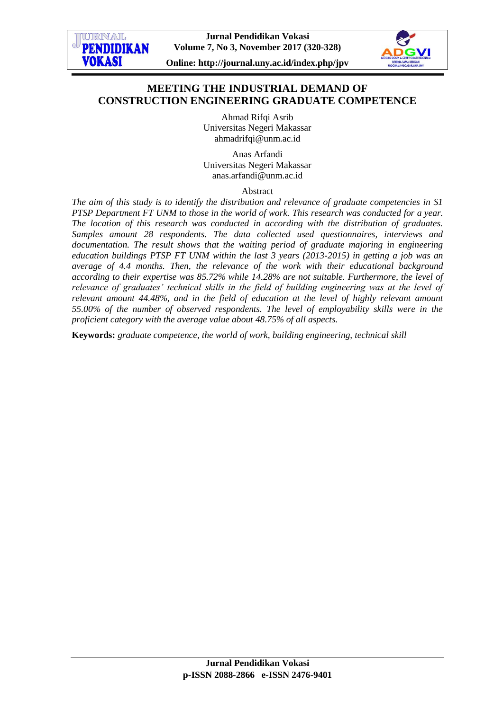URNAI **PENDIDIKAN** 

**VOKASI** 



**Online: http://journal.uny.ac.id/index.php/jpv**

# **MEETING THE INDUSTRIAL DEMAND OF CONSTRUCTION ENGINEERING GRADUATE COMPETENCE**

Ahmad Rifqi Asrib Universitas Negeri Makassar [ahmadrifqi@unm.ac.id](mailto:ahmadrifqi@unm.ac.id)

Anas Arfandi Universitas Negeri Makassar [anas.arfandi@unm.ac.id](mailto:anas.arfandi@unm.ac.id)

Abstract

*The aim of this study is to identify the distribution and relevance of graduate competencies in S1 PTSP Department FT UNM to those in the world of work. This research was conducted for a year. The location of this research was conducted in according with the distribution of graduates. Samples amount 28 respondents. The data collected used questionnaires, interviews and* documentation. The result shows that the waiting period of graduate majoring in engineering *education buildings PTSP FT UNM within the last 3 years (2013-2015) in getting a job was an average of 4.4 months. Then, the relevance of the work with their educational background according to their expertise was 85.72% while 14.28% are not suitable. Furthermore, the level of relevance of graduates' technical skills in the field of building engineering was at the level of relevant amount 44.48%, and in the field of education at the level of highly relevant amount 55.00% of the number of observed respondents. The level of employability skills were in the proficient category with the average value about 48.75% of all aspects.* 

**Keywords:** *graduate competence, the world of work, building engineering, technical skill*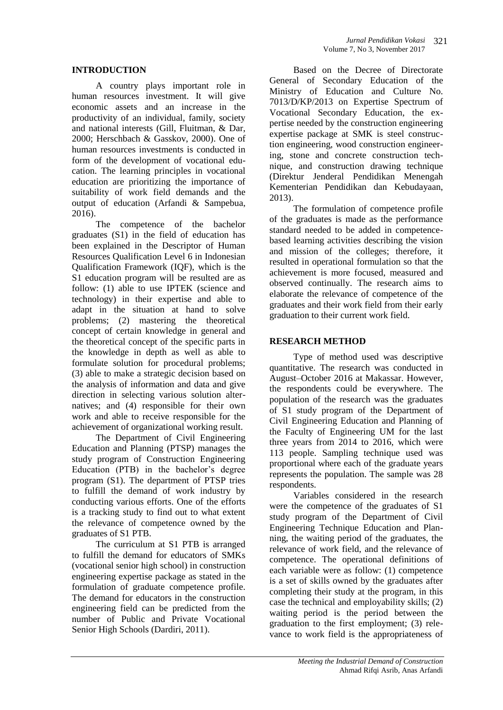## **INTRODUCTION**

A country plays important role in human resources investment. It will give economic assets and an increase in the productivity of an individual, family, society and national interests (Gill, Fluitman, & Dar, 2000; Herschbach & Gasskov, 2000). One of human resources investments is conducted in form of the development of vocational education. The learning principles in vocational education are prioritizing the importance of suitability of work field demands and the output of education (Arfandi & Sampebua, 2016).

The competence of the bachelor graduates (S1) in the field of education has been explained in the Descriptor of Human Resources Qualification Level 6 in Indonesian Qualification Framework (IQF), which is the S1 education program will be resulted are as follow: (1) able to use IPTEK (science and technology) in their expertise and able to adapt in the situation at hand to solve problems; (2) mastering the theoretical concept of certain knowledge in general and the theoretical concept of the specific parts in the knowledge in depth as well as able to formulate solution for procedural problems; (3) able to make a strategic decision based on the analysis of information and data and give direction in selecting various solution alternatives; and (4) responsible for their own work and able to receive responsible for the achievement of organizational working result.

The Department of Civil Engineering Education and Planning (PTSP) manages the study program of Construction Engineering Education (PTB) in the bachelor's degree program (S1). The department of PTSP tries to fulfill the demand of work industry by conducting various efforts. One of the efforts is a tracking study to find out to what extent the relevance of competence owned by the graduates of S1 PTB.

The curriculum at S1 PTB is arranged to fulfill the demand for educators of SMKs (vocational senior high school) in construction engineering expertise package as stated in the formulation of graduate competence profile. The demand for educators in the construction engineering field can be predicted from the number of Public and Private Vocational Senior High Schools (Dardiri, 2011).

Based on the Decree of Directorate General of Secondary Education of the Ministry of Education and Culture No. 7013/D/KP/2013 on Expertise Spectrum of Vocational Secondary Education, the expertise needed by the construction engineering expertise package at SMK is steel construction engineering, wood construction engineering, stone and concrete construction technique, and construction drawing technique (Direktur Jenderal Pendidikan Menengah Kementerian Pendidikan dan Kebudayaan, 2013).

The formulation of competence profile of the graduates is made as the performance standard needed to be added in competencebased learning activities describing the vision and mission of the colleges; therefore, it resulted in operational formulation so that the achievement is more focused, measured and observed continually. The research aims to elaborate the relevance of competence of the graduates and their work field from their early graduation to their current work field.

## **RESEARCH METHOD**

Type of method used was descriptive quantitative. The research was conducted in August–October 2016 at Makassar. However, the respondents could be everywhere. The population of the research was the graduates of S1 study program of the Department of Civil Engineering Education and Planning of the Faculty of Engineering UM for the last three years from 2014 to 2016, which were 113 people. Sampling technique used was proportional where each of the graduate years represents the population. The sample was 28 respondents.

Variables considered in the research were the competence of the graduates of S1 study program of the Department of Civil Engineering Technique Education and Planning, the waiting period of the graduates, the relevance of work field, and the relevance of competence. The operational definitions of each variable were as follow: (1) competence is a set of skills owned by the graduates after completing their study at the program, in this case the technical and employability skills; (2) waiting period is the period between the graduation to the first employment; (3) relevance to work field is the appropriateness of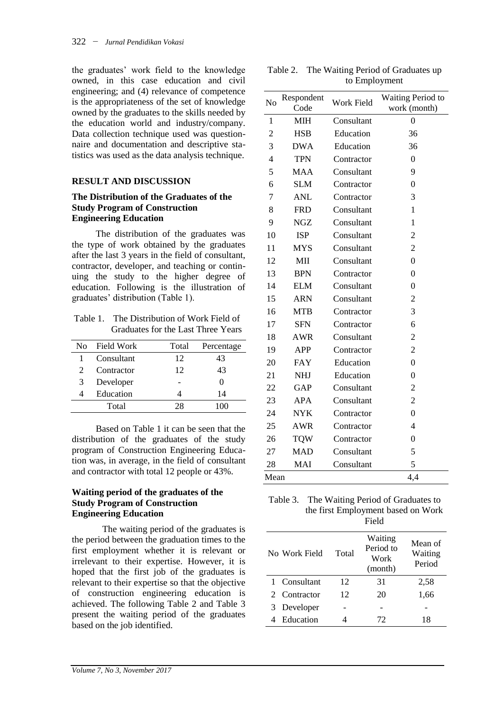the graduates' work field to the knowledge owned, in this case education and civil engineering; and (4) relevance of competence is the appropriateness of the set of knowledge owned by the graduates to the skills needed by the education world and industry/company. Data collection technique used was questionnaire and documentation and descriptive statistics was used as the data analysis technique.

# **RESULT AND DISCUSSION**

#### **The Distribution of the Graduates of the Study Program of Construction Engineering Education**

The distribution of the graduates was the type of work obtained by the graduates after the last 3 years in the field of consultant, contractor, developer, and teaching or continuing the study to the higher degree of education. Following is the illustration of graduates' distribution (Table 1).

Table 1. The Distribution of Work Field of Graduates for the Last Three Years

| No.                         | <b>Field Work</b> | Total | Percentage |
|-----------------------------|-------------------|-------|------------|
|                             | Consultant        | 12    | 43         |
| $\mathcal{D}_{\mathcal{L}}$ | Contractor        | 12    | 43         |
| 3                           | Developer         |       |            |
|                             | Education         |       | 14         |
|                             | Total             | 28.   | 100        |

Based on Table 1 it can be seen that the distribution of the graduates of the study program of Construction Engineering Education was, in average, in the field of consultant and contractor with total 12 people or 43%.

#### **Waiting period of the graduates of the Study Program of Construction Engineering Education**

The waiting period of the graduates is the period between the graduation times to the first employment whether it is relevant or irrelevant to their expertise. However, it is hoped that the first job of the graduates is relevant to their expertise so that the objective of construction engineering education is achieved. The following Table 2 and Table 3 present the waiting period of the graduates based on the job identified.

| N <sub>o</sub> | Respondent<br>Code | <b>Work Field</b> | Waiting Period to<br>work (month) |
|----------------|--------------------|-------------------|-----------------------------------|
| 1              | <b>MIH</b>         | Consultant        | 0                                 |
| 2              | <b>HSB</b>         | Education         | 36                                |
| 3              | <b>DWA</b>         | Education         | 36                                |
| 4              | <b>TPN</b>         | Contractor        | $\theta$                          |
| 5              | <b>MAA</b>         | Consultant        | 9                                 |
| 6              | <b>SLM</b>         | Contractor        | $\theta$                          |
| 7              | <b>ANL</b>         | Contractor        | 3                                 |
| 8              | <b>FRD</b>         | Consultant        | 1                                 |
| 9              | <b>NGZ</b>         | Consultant        | 1                                 |
| 10             | <b>ISP</b>         | Consultant        | $\overline{2}$                    |
| 11             | <b>MYS</b>         | Consultant        | $\overline{c}$                    |
| 12             | MII                | Consultant        | $\boldsymbol{0}$                  |
| 13             | <b>BPN</b>         | Contractor        | $\theta$                          |
| 14             | <b>ELM</b>         | Consultant        | 0                                 |
| 15             | <b>ARN</b>         | Consultant        | 2                                 |
| 16             | <b>MTB</b>         | Contractor        | 3                                 |
| 17             | <b>SFN</b>         | Contractor        | 6                                 |
| 18             | <b>AWR</b>         | Consultant        | $\overline{c}$                    |
| 19             | <b>APP</b>         | Contractor        | 2                                 |
| 20             | <b>FAY</b>         | Education         | $\overline{0}$                    |
| 21             | <b>NHJ</b>         | Education         | $\overline{0}$                    |
| 22             | <b>GAP</b>         | Consultant        | $\overline{c}$                    |
| 23             | APA                | Consultant        | $\overline{c}$                    |
| 24             | <b>NYK</b>         | Contractor        | $\theta$                          |
| 25             | <b>AWR</b>         | Contractor        | $\overline{4}$                    |
| 26             | <b>TQW</b>         | Contractor        | $\theta$                          |
| 27             | <b>MAD</b>         | Consultant        | 5                                 |
| 28             | MAI                | Consultant        | 5                                 |
| Mean           |                    |                   | 4,4                               |

Table 2. The Waiting Period of Graduates up to Employment

| Table 3. The Waiting Period of Graduates to |
|---------------------------------------------|
| the first Employment based on Work          |
| Field                                       |

| No Work Field | Total | Waiting<br>Period to<br>Work<br>(month) | Mean of<br>Waiting<br>Period |
|---------------|-------|-----------------------------------------|------------------------------|
| 1 Consultant  | 12    | 31                                      | 2,58                         |
| 2 Contractor  | 12    | 20                                      | 1,66                         |
| 3 Developer   |       |                                         |                              |
| 4 Education   |       | 72                                      | 18                           |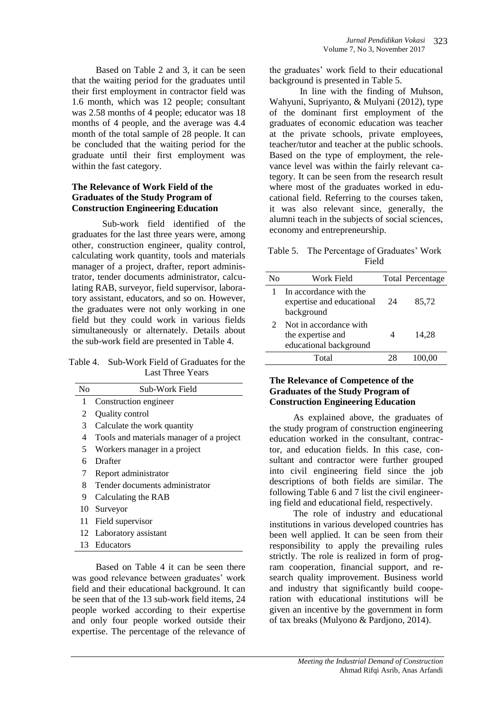Based on Table 2 and 3, it can be seen that the waiting period for the graduates until their first employment in contractor field was 1.6 month, which was 12 people; consultant was 2.58 months of 4 people; educator was 18 months of 4 people, and the average was 4.4 month of the total sample of 28 people. It can be concluded that the waiting period for the graduate until their first employment was within the fast category.

### **The Relevance of Work Field of the Graduates of the Study Program of Construction Engineering Education**

Sub-work field identified of the graduates for the last three years were, among other, construction engineer, quality control, calculating work quantity, tools and materials manager of a project, drafter, report administrator, tender documents administrator, calculating RAB, surveyor, field supervisor, laboratory assistant, educators, and so on. However, the graduates were not only working in one field but they could work in various fields simultaneously or alternately. Details about the sub-work field are presented in Table 4.

Table 4. Sub-Work Field of Graduates for the Last Three Years

| N <sub>0</sub> | Sub-Work Field                           |
|----------------|------------------------------------------|
| 1              | Construction engineer                    |
| 2              | Quality control                          |
| 3              | Calculate the work quantity              |
| 4              | Tools and materials manager of a project |
| 5              | Workers manager in a project             |
| 6              | Drafter                                  |
| 7              | Report administrator                     |
| 8              | Tender documents administrator           |
| 9              | Calculating the RAB                      |
|                | 10 Surveyor                              |
| 11             | Field supervisor                         |
|                | 12 Laboratory assistant                  |
|                | 13 Educators                             |

Based on Table 4 it can be seen there was good relevance between graduates' work field and their educational background. It can be seen that of the 13 sub-work field items, 24 people worked according to their expertise and only four people worked outside their expertise. The percentage of the relevance of the graduates' work field to their educational background is presented in Table 5.

In line with the finding of Muhson, Wahyuni, Supriyanto, & Mulyani (2012), type of the dominant first employment of the graduates of economic education was teacher at the private schools, private employees, teacher/tutor and teacher at the public schools. Based on the type of employment, the relevance level was within the fairly relevant category. It can be seen from the research result where most of the graduates worked in educational field. Referring to the courses taken, it was also relevant since, generally, the alumni teach in the subjects of social sciences, economy and entrepreneurship.

Table 5. The Percentage of Graduates' Work Field

| Nο | Work Field                                                            |    | <b>Total Percentage</b> |
|----|-----------------------------------------------------------------------|----|-------------------------|
|    | In accordance with the<br>expertise and educational<br>background     | 24 | 85,72                   |
| 2  | Not in accordance with<br>the expertise and<br>educational background |    | 14.28                   |
|    | Total                                                                 |    |                         |

## **The Relevance of Competence of the Graduates of the Study Program of Construction Engineering Education**

As explained above, the graduates of the study program of construction engineering education worked in the consultant, contractor, and education fields. In this case, consultant and contractor were further grouped into civil engineering field since the job descriptions of both fields are similar. The following Table 6 and 7 list the civil engineering field and educational field, respectively.

The role of industry and educational institutions in various developed countries has been well applied. It can be seen from their responsibility to apply the prevailing rules strictly. The role is realized in form of program cooperation, financial support, and research quality improvement. Business world and industry that significantly build cooperation with educational institutions will be given an incentive by the government in form of tax breaks (Mulyono & Pardjono, 2014).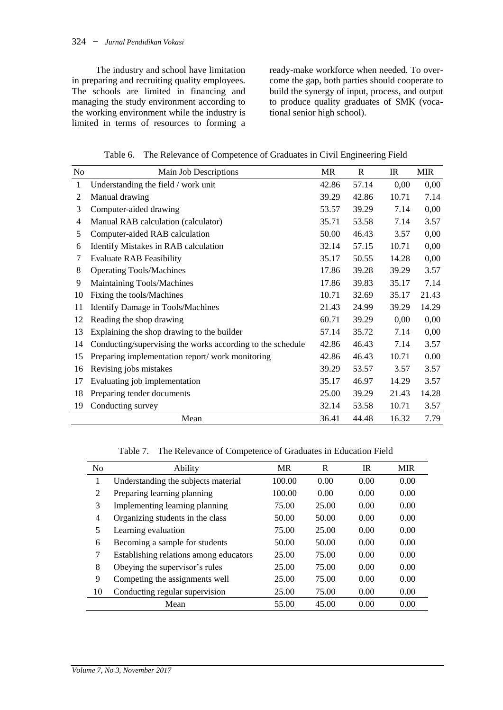The industry and school have limitation in preparing and recruiting quality employees. The schools are limited in financing and managing the study environment according to the working environment while the industry is limited in terms of resources to forming a

ready-make workforce when needed. To overcome the gap, both parties should cooperate to build the synergy of input, process, and output to produce quality graduates of SMK (vocational senior high school).

| Table 6. The Relevance of Competence of Graduates in Civil Engineering Field |  |  |
|------------------------------------------------------------------------------|--|--|
|                                                                              |  |  |

| No | Main Job Descriptions                                      | MR    | $\mathbf R$ | IR    | <b>MIR</b> |
|----|------------------------------------------------------------|-------|-------------|-------|------------|
| 1  | Understanding the field / work unit                        | 42.86 | 57.14       | 0,00  | 0,00       |
| 2  | Manual drawing                                             | 39.29 | 42.86       | 10.71 | 7.14       |
| 3  | Computer-aided drawing                                     | 53.57 | 39.29       | 7.14  | 0,00       |
| 4  | Manual RAB calculation (calculator)                        | 35.71 | 53.58       | 7.14  | 3.57       |
| 5  | Computer-aided RAB calculation                             | 50.00 | 46.43       | 3.57  | 0,00       |
| 6  | Identify Mistakes in RAB calculation                       | 32.14 | 57.15       | 10.71 | 0,00       |
| 7  | <b>Evaluate RAB Feasibility</b>                            | 35.17 | 50.55       | 14.28 | 0,00       |
| 8  | <b>Operating Tools/Machines</b>                            | 17.86 | 39.28       | 39.29 | 3.57       |
| 9  | Maintaining Tools/Machines                                 | 17.86 | 39.83       | 35.17 | 7.14       |
| 10 | Fixing the tools/Machines                                  | 10.71 | 32.69       | 35.17 | 21.43      |
| 11 | <b>Identify Damage in Tools/Machines</b>                   | 21.43 | 24.99       | 39.29 | 14.29      |
| 12 | Reading the shop drawing                                   | 60.71 | 39.29       | 0,00  | 0,00       |
| 13 | Explaining the shop drawing to the builder                 | 57.14 | 35.72       | 7.14  | 0,00       |
| 14 | Conducting/supervising the works according to the schedule | 42.86 | 46.43       | 7.14  | 3.57       |
| 15 | Preparing implementation report/work monitoring            | 42.86 | 46.43       | 10.71 | 0.00       |
| 16 | Revising jobs mistakes                                     | 39.29 | 53.57       | 3.57  | 3.57       |
| 17 | Evaluating job implementation                              | 35.17 | 46.97       | 14.29 | 3.57       |
| 18 | Preparing tender documents                                 | 25.00 | 39.29       | 21.43 | 14.28      |
| 19 | Conducting survey                                          | 32.14 | 53.58       | 10.71 | 3.57       |
|    | Mean                                                       | 36.41 | 44.48       | 16.32 | 7.79       |

Table 7. The Relevance of Competence of Graduates in Education Field

| No | Ability                                | <b>MR</b> | R     | <b>IR</b> | <b>MIR</b> |
|----|----------------------------------------|-----------|-------|-----------|------------|
| 1  | Understanding the subjects material    | 100.00    | 0.00  | 0.00      | 0.00       |
| 2  | Preparing learning planning            | 100.00    | 0.00  | 0.00      | 0.00       |
| 3  | Implementing learning planning         | 75.00     | 25.00 | 0.00      | 0.00       |
| 4  | Organizing students in the class       | 50.00     | 50.00 | 0.00      | 0.00       |
| 5  | Learning evaluation                    | 75.00     | 25.00 | 0.00      | 0.00       |
| 6  | Becoming a sample for students         | 50.00     | 50.00 | 0.00      | 0.00       |
| 7  | Establishing relations among educators | 25.00     | 75.00 | 0.00      | 0.00       |
| 8  | Obeying the supervisor's rules         | 25.00     | 75.00 | 0.00      | 0.00       |
| 9  | Competing the assignments well         | 25.00     | 75.00 | 0.00      | 0.00       |
| 10 | Conducting regular supervision         | 25.00     | 75.00 | 0.00      | 0.00       |
|    | Mean                                   | 55.00     | 45.00 | 0.00      | 0.00       |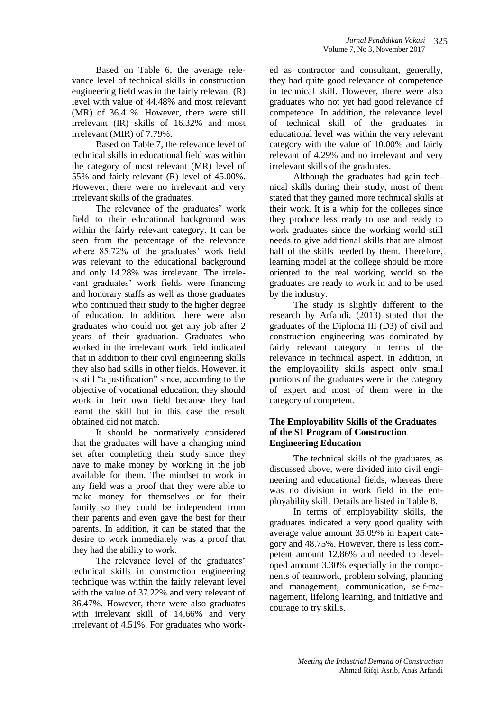Based on Table 6, the average relevance level of technical skills in construction engineering field was in the fairly relevant (R) level with value of 44.48% and most relevant (MR) of 36.41%. However, there were still irrelevant (IR) skills of 16.32% and most irrelevant (MIR) of 7.79%.

Based on Table 7, the relevance level of technical skills in educational field was within the category of most relevant (MR) level of 55% and fairly relevant (R) level of 45.00%. However, there were no irrelevant and very irrelevant skills of the graduates.

The relevance of the graduates' work field to their educational background was within the fairly relevant category. It can be seen from the percentage of the relevance where 85.72% of the graduates' work field was relevant to the educational background and only 14.28% was irrelevant. The irrelevant graduates' work fields were financing and honorary staffs as well as those graduates who continued their study to the higher degree of education. In addition, there were also graduates who could not get any job after 2 years of their graduation. Graduates who worked in the irrelevant work field indicated that in addition to their civil engineering skills they also had skills in other fields. However, it is still "a justification" since, according to the objective of vocational education, they should work in their own field because they had learnt the skill but in this case the result obtained did not match.

It should be normatively considered that the graduates will have a changing mind set after completing their study since they have to make money by working in the job available for them. The mindset to work in any field was a proof that they were able to make money for themselves or for their family so they could be independent from their parents and even gave the best for their parents. In addition, it can be stated that the desire to work immediately was a proof that they had the ability to work.

The relevance level of the graduates' technical skills in construction engineering technique was within the fairly relevant level with the value of 37.22% and very relevant of 36.47%. However, there were also graduates with irrelevant skill of 14.66% and very irrelevant of 4.51%. For graduates who worked as contractor and consultant, generally, they had quite good relevance of competence in technical skill. However, there were also graduates who not yet had good relevance of competence. In addition, the relevance level of technical skill of the graduates in educational level was within the very relevant category with the value of 10.00% and fairly relevant of 4.29% and no irrelevant and very irrelevant skills of the graduates.

Although the graduates had gain technical skills during their study, most of them stated that they gained more technical skills at their work. It is a whip for the colleges since they produce less ready to use and ready to work graduates since the working world still needs to give additional skills that are almost half of the skills needed by them. Therefore, learning model at the college should be more oriented to the real working world so the graduates are ready to work in and to be used by the industry.

The study is slightly different to the research by Arfandi, (2013) stated that the graduates of the Diploma III (D3) of civil and construction engineering was dominated by fairly relevant category in terms of the relevance in technical aspect. In addition, in the employability skills aspect only small portions of the graduates were in the category of expert and most of them were in the category of competent.

#### **The Employability Skills of the Graduates of the S1 Program of Construction Engineering Education**

The technical skills of the graduates, as discussed above, were divided into civil engineering and educational fields, whereas there was no division in work field in the employability skill. Details are listed in Table 8.

In terms of employability skills, the graduates indicated a very good quality with average value amount 35.09% in Expert category and 48.75%. However, there is less competent amount 12.86% and needed to developed amount 3.30% especially in the components of teamwork, problem solving, planning and management, communication, self-management, lifelong learning, and initiative and courage to try skills.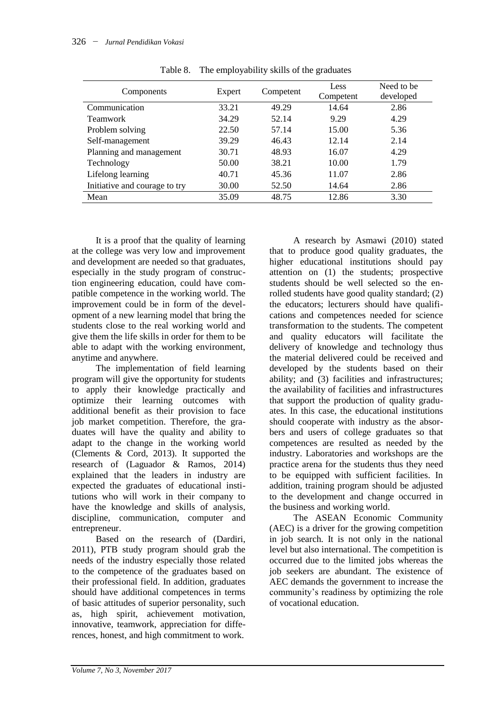| Components                    | Expert | Competent | Less<br>Competent | Need to be<br>developed |
|-------------------------------|--------|-----------|-------------------|-------------------------|
| Communication                 | 33.21  | 49.29     | 14.64             | 2.86                    |
| <b>Teamwork</b>               | 34.29  | 52.14     | 9.29              | 4.29                    |
| Problem solving               | 22.50  | 57.14     | 15.00             | 5.36                    |
| Self-management               | 39.29  | 46.43     | 12.14             | 2.14                    |
| Planning and management       | 30.71  | 48.93     | 16.07             | 4.29                    |
| Technology                    | 50.00  | 38.21     | 10.00             | 1.79                    |
| Lifelong learning             | 40.71  | 45.36     | 11.07             | 2.86                    |
| Initiative and courage to try | 30.00  | 52.50     | 14.64             | 2.86                    |
| Mean                          | 35.09  | 48.75     | 12.86             | 3.30                    |

Table 8. The employability skills of the graduates

It is a proof that the quality of learning at the college was very low and improvement and development are needed so that graduates, especially in the study program of construction engineering education, could have compatible competence in the working world. The improvement could be in form of the development of a new learning model that bring the students close to the real working world and give them the life skills in order for them to be able to adapt with the working environment, anytime and anywhere.

The implementation of field learning program will give the opportunity for students to apply their knowledge practically and optimize their learning outcomes with additional benefit as their provision to face job market competition. Therefore, the graduates will have the quality and ability to adapt to the change in the working world (Clements & Cord, 2013). It supported the research of (Laguador & Ramos, 2014) explained that the leaders in industry are expected the graduates of educational institutions who will work in their company to have the knowledge and skills of analysis, discipline, communication, computer and entrepreneur.

Based on the research of (Dardiri, 2011), PTB study program should grab the needs of the industry especially those related to the competence of the graduates based on their professional field. In addition, graduates should have additional competences in terms of basic attitudes of superior personality, such as, high spirit, achievement motivation, innovative, teamwork, appreciation for differences, honest, and high commitment to work.

A research by Asmawi (2010) stated that to produce good quality graduates, the higher educational institutions should pay attention on (1) the students; prospective students should be well selected so the enrolled students have good quality standard; (2) the educators; lecturers should have qualifications and competences needed for science transformation to the students. The competent and quality educators will facilitate the delivery of knowledge and technology thus the material delivered could be received and developed by the students based on their ability; and (3) facilities and infrastructures; the availability of facilities and infrastructures that support the production of quality graduates. In this case, the educational institutions should cooperate with industry as the absorbers and users of college graduates so that competences are resulted as needed by the industry. Laboratories and workshops are the practice arena for the students thus they need to be equipped with sufficient facilities. In addition, training program should be adjusted to the development and change occurred in the business and working world.

The ASEAN Economic Community (AEC) is a driver for the growing competition in job search. It is not only in the national level but also international. The competition is occurred due to the limited jobs whereas the job seekers are abundant. The existence of AEC demands the government to increase the community's readiness by optimizing the role of vocational education.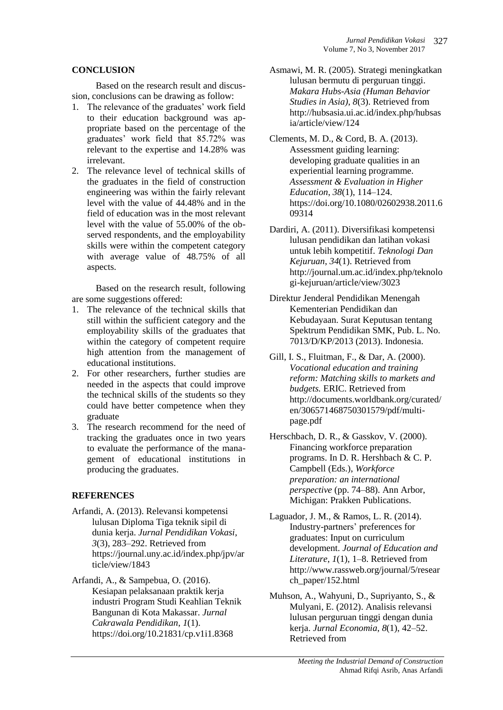### **CONCLUSION**

Based on the research result and discussion, conclusions can be drawing as follow:

- 1. The relevance of the graduates' work field to their education background was appropriate based on the percentage of the graduates' work field that 85.72% was relevant to the expertise and 14.28% was irrelevant.
- 2. The relevance level of technical skills of the graduates in the field of construction engineering was within the fairly relevant level with the value of 44.48% and in the field of education was in the most relevant level with the value of 55.00% of the observed respondents, and the employability skills were within the competent category with average value of 48.75% of all aspects.

Based on the research result, following are some suggestions offered:

- 1. The relevance of the technical skills that still within the sufficient category and the employability skills of the graduates that within the category of competent require high attention from the management of educational institutions.
- 2. For other researchers, further studies are needed in the aspects that could improve the technical skills of the students so they could have better competence when they graduate
- 3. The research recommend for the need of tracking the graduates once in two years to evaluate the performance of the management of educational institutions in producing the graduates.

# **REFERENCES**

Arfandi, A. (2013). Relevansi kompetensi lulusan Diploma Tiga teknik sipil di dunia kerja. *Jurnal Pendidikan Vokasi*, *3*(3), 283–292. Retrieved from https://journal.uny.ac.id/index.php/jpv/ar ticle/view/1843

Arfandi, A., & Sampebua, O. (2016). Kesiapan pelaksanaan praktik kerja industri Program Studi Keahlian Teknik Bangunan di Kota Makassar. *Jurnal Cakrawala Pendidikan*, *1*(1). https://doi.org/10.21831/cp.v1i1.8368

- Asmawi, M. R. (2005). Strategi meningkatkan lulusan bermutu di perguruan tinggi. *Makara Hubs-Asia (Human Behavior Studies in Asia)*, *8*(3). Retrieved from http://hubsasia.ui.ac.id/index.php/hubsas ia/article/view/124
- Clements, M. D., & Cord, B. A. (2013). Assessment guiding learning: developing graduate qualities in an experiential learning programme. *Assessment & Evaluation in Higher Education*, *38*(1), 114–124. https://doi.org/10.1080/02602938.2011.6 09314
- Dardiri, A. (2011). Diversifikasi kompetensi lulusan pendidikan dan latihan vokasi untuk lebih kompetitif. *Teknologi Dan Kejuruan*, *34*(1). Retrieved from http://journal.um.ac.id/index.php/teknolo gi-kejuruan/article/view/3023
- Direktur Jenderal Pendidikan Menengah Kementerian Pendidikan dan Kebudayaan. Surat Keputusan tentang Spektrum Pendidikan SMK, Pub. L. No. 7013/D/KP/2013 (2013). Indonesia.
- Gill, I. S., Fluitman, F., & Dar, A. (2000). *Vocational education and training reform: Matching skills to markets and budgets.* ERIC. Retrieved from http://documents.worldbank.org/curated/ en/306571468750301579/pdf/multipage.pdf
- Herschbach, D. R., & Gasskov, V. (2000). Financing workforce preparation programs. In D. R. Hershbach & C. P. Campbell (Eds.), *Workforce preparation: an international perspective* (pp. 74–88). Ann Arbor, Michigan: Prakken Publications.
- Laguador, J. M., & Ramos, L. R. (2014). Industry-partners' preferences for graduates: Input on curriculum development. *Journal of Education and Literature*, *1*(1), 1–8. Retrieved from http://www.rassweb.org/journal/5/resear ch\_paper/152.html
- Muhson, A., Wahyuni, D., Supriyanto, S., & Mulyani, E. (2012). Analisis relevansi lulusan perguruan tinggi dengan dunia kerja. *Jurnal Economia*, *8*(1), 42–52. Retrieved from